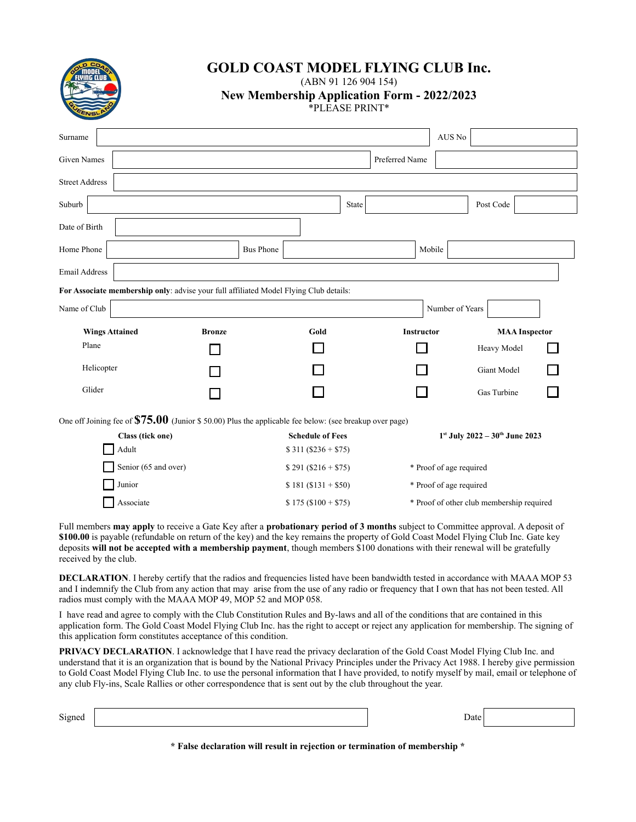

# **GOLD COAST MODEL FLYING CLUB Inc.**

(ABN 91 126 904 154) **New Membership Application Form - 2022/2023** \*PLEASE PRINT\*

| Surname                                                                                                  |                                                                                       |               |                     |                     |                         |                | AUS No |                         |                      |  |
|----------------------------------------------------------------------------------------------------------|---------------------------------------------------------------------------------------|---------------|---------------------|---------------------|-------------------------|----------------|--------|-------------------------|----------------------|--|
| Given Names                                                                                              |                                                                                       |               |                     |                     |                         | Preferred Name |        |                         |                      |  |
| <b>Street Address</b>                                                                                    |                                                                                       |               |                     |                     |                         |                |        |                         |                      |  |
| Suburb                                                                                                   |                                                                                       |               |                     |                     | State                   |                |        | Post Code               |                      |  |
| Date of Birth                                                                                            |                                                                                       |               |                     |                     |                         |                |        |                         |                      |  |
| Home Phone                                                                                               |                                                                                       |               | <b>Bus Phone</b>    |                     |                         |                | Mobile |                         |                      |  |
| <b>Email Address</b>                                                                                     |                                                                                       |               |                     |                     |                         |                |        |                         |                      |  |
|                                                                                                          | For Associate membership only: advise your full affiliated Model Flying Club details: |               |                     |                     |                         |                |        |                         |                      |  |
| Name of Club                                                                                             | Number of Years                                                                       |               |                     |                     |                         |                |        |                         |                      |  |
|                                                                                                          | <b>Wings Attained</b>                                                                 | <b>Bronze</b> |                     | Gold                |                         | Instructor     |        |                         | <b>MAA</b> Inspector |  |
| Plane                                                                                                    |                                                                                       |               |                     |                     |                         |                |        | Heavy Model             |                      |  |
| Helicopter                                                                                               |                                                                                       |               |                     |                     |                         |                |        | Giant Model             |                      |  |
| Glider                                                                                                   |                                                                                       |               |                     |                     |                         |                |        | Gas Turbine             |                      |  |
| One off Joining fee of $$75.00$ (Junior \$ 50.00) Plus the applicable fee below: (see breakup over page) |                                                                                       |               |                     |                     |                         |                |        |                         |                      |  |
| $1^{st}$ July 2022 - $30^{th}$ June 2023<br>Class (tick one)<br><b>Schedule of Fees</b>                  |                                                                                       |               |                     |                     |                         |                |        |                         |                      |  |
|                                                                                                          | Adult                                                                                 |               |                     | $$311 ($236 + $75)$ |                         |                |        |                         |                      |  |
| Senior (65 and over)                                                                                     |                                                                                       |               | $$291 ($216 + $75)$ |                     | * Proof of age required |                |        |                         |                      |  |
|                                                                                                          | Junior                                                                                |               |                     | $$181 ($131 + $50)$ |                         |                |        | * Proof of age required |                      |  |

Full members **may apply** to receive a Gate Key after a **probationary period of 3 months** subject to Committee approval. A deposit of **\$100.00** is payable (refundable on return of the key) and the key remains the property of Gold Coast Model Flying Club Inc. Gate key deposits **will not be accepted with a membership payment**, though members \$100 donations with their renewal will be gratefully received by the club.

Associate  $$ 175 ($100 + $75)$  \* Proof of other club membership required

**DECLARATION**. I hereby certify that the radios and frequencies listed have been bandwidth tested in accordance with MAAA MOP 53 and I indemnify the Club from any action that may arise from the use of any radio or frequency that I own that has not been tested. All radios must comply with the MAAA MOP 49, MOP 52 and MOP 058.

I have read and agree to comply with the Club Constitution Rules and By-laws and all of the conditions that are contained in this application form. The Gold Coast Model Flying Club Inc. has the right to accept or reject any application for membership. The signing of this application form constitutes acceptance of this condition.

**PRIVACY DECLARATION**. I acknowledge that I have read the privacy declaration of the Gold Coast Model Flying Club Inc. and understand that it is an organization that is bound by the National Privacy Principles under the Privacy Act 1988. I hereby give permission to Gold Coast Model Flying Club Inc. to use the personal information that I have provided, to notify myself by mail, email or telephone of any club Fly-ins, Scale Rallies or other correspondence that is sent out by the club throughout the year.

| Signed | Date |  |
|--------|------|--|
|        |      |  |

**\* False declaration will result in rejection or termination of membership \***